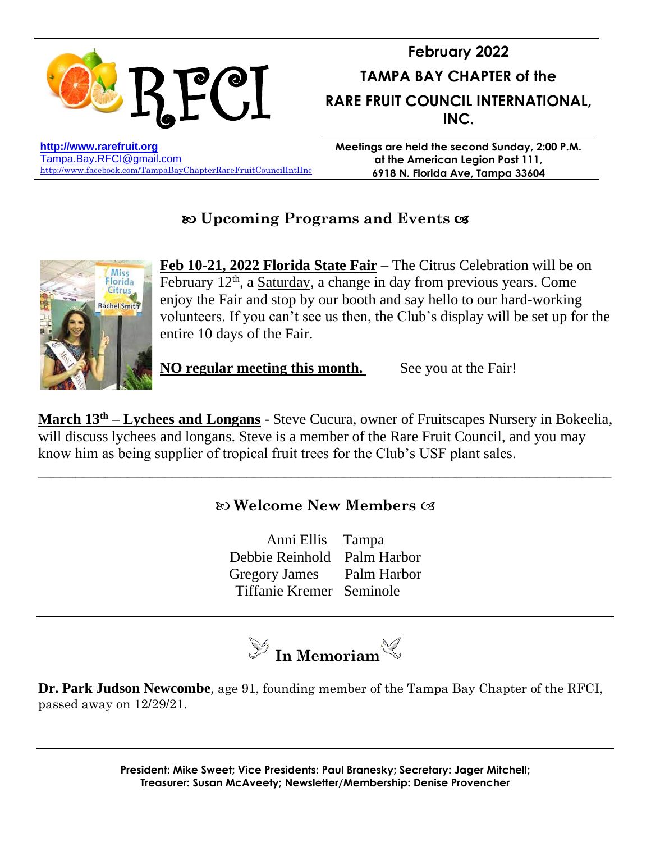

# **Upcoming Programs and Events**



**Feb 10-21, 2022 Florida State Fair** – The Citrus Celebration will be on February 12<sup>th</sup>, a Saturday, a change in day from previous years. Come enjoy the Fair and stop by our booth and say hello to our hard-working volunteers. If you can't see us then, the Club's display will be set up for the entire 10 days of the Fair.

**NO regular meeting this month.** See you at the Fair!

**March 13th – Lychees and Longans** - Steve Cucura, owner of Fruitscapes Nursery in Bokeelia, will discuss lychees and longans. Steve is a member of the Rare Fruit Council, and you may know him as being supplier of tropical fruit trees for the Club's USF plant sales.

## **Welcome New Members**

\_\_\_\_\_\_\_\_\_\_\_\_\_\_\_\_\_\_\_\_\_\_\_\_\_\_\_\_\_\_\_\_\_\_\_\_\_\_\_\_\_\_\_\_\_\_\_\_\_\_\_\_\_\_\_\_\_\_\_\_\_\_\_\_\_\_\_\_\_\_\_\_\_\_\_\_\_

Anni Ellis Tampa Debbie Reinhold Palm Harbor Gregory James Palm Harbor Tiffanie Kremer Seminole



**Dr. Park Judson Newcombe**, age 91, founding member of the Tampa Bay Chapter of the RFCI, passed away on 12/29/21.

> **President: Mike Sweet; Vice Presidents: Paul Branesky; Secretary: Jager Mitchell; Treasurer: Susan McAveety; Newsletter/Membership: Denise Provencher**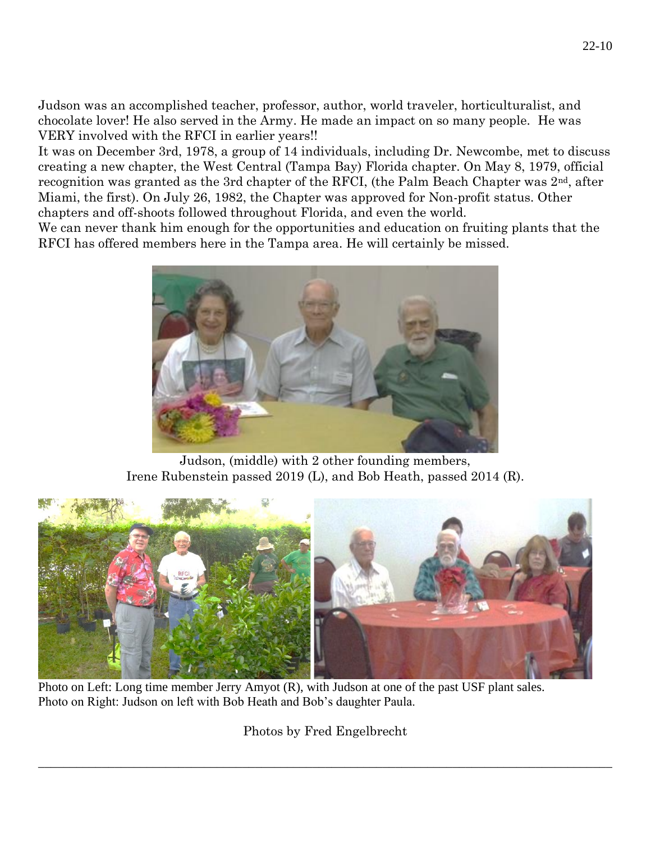Judson was an accomplished teacher, professor, author, world traveler, horticulturalist, and chocolate lover! He also served in the Army. He made an impact on so many people. He was VERY involved with the RFCI in earlier years!!

It was on December 3rd, 1978, a group of 14 individuals, including Dr. Newcombe, met to discuss creating a new chapter, the West Central (Tampa Bay) Florida chapter. On May 8, 1979, official recognition was granted as the 3rd chapter of the RFCI, (the Palm Beach Chapter was  $2<sup>nd</sup>$ , after Miami, the first). On July 26, 1982, the Chapter was approved for Non-profit status. Other chapters and off-shoots followed throughout Florida, and even the world.

We can never thank him enough for the opportunities and education on fruiting plants that the RFCI has offered members here in the Tampa area. He will certainly be missed.



Judson, (middle) with 2 other founding members, Irene Rubenstein passed 2019 (L), and Bob Heath, passed 2014 (R).



Photo on Left: Long time member Jerry Amyot (R), with Judson at one of the past USF plant sales. Photo on Right: Judson on left with Bob Heath and Bob's daughter Paula.

Photos by Fred Engelbrecht

 $\_$  , and the set of the set of the set of the set of the set of the set of the set of the set of the set of the set of the set of the set of the set of the set of the set of the set of the set of the set of the set of th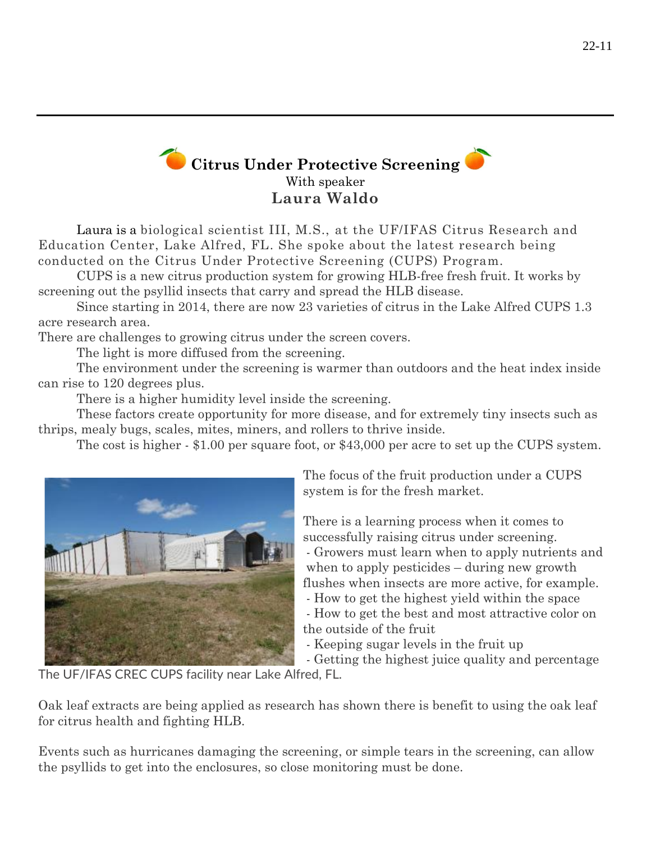# **Citrus Under Protective Screening** With speaker **Laura Waldo**

Laura is a biological scientist III, M.S., at the UF/IFAS Citrus Research and Education Center, Lake Alfred, FL. She spoke about the latest research being conducted on the Citrus Under Protective Screening (CUPS) Program.

CUPS is a new citrus production system for growing HLB-free fresh fruit. It works by screening out the psyllid insects that carry and spread the HLB disease.

Since starting in 2014, there are now 23 varieties of citrus in the Lake Alfred CUPS 1.3 acre research area.

There are challenges to growing citrus under the screen covers.

The light is more diffused from the screening.

The environment under the screening is warmer than outdoors and the heat index inside can rise to 120 degrees plus.

There is a higher humidity level inside the screening.

These factors create opportunity for more disease, and for extremely tiny insects such as thrips, mealy bugs, scales, mites, miners, and rollers to thrive inside.

The cost is higher - \$1.00 per square foot, or \$43,000 per acre to set up the CUPS system.



The focus of the fruit production under a CUPS system is for the fresh market.

There is a learning process when it comes to successfully raising citrus under screening.

- Growers must learn when to apply nutrients and when to apply pesticides – during new growth flushes when insects are more active, for example.

- How to get the highest yield within the space - How to get the best and most attractive color on the outside of the fruit

- Keeping sugar levels in the fruit up

- Getting the highest juice quality and percentage

The UF/IFAS CREC CUPS facility near Lake Alfred, FL.

Oak leaf extracts are being applied as research has shown there is benefit to using the oak leaf for citrus health and fighting HLB.

Events such as hurricanes damaging the screening, or simple tears in the screening, can allow the psyllids to get into the enclosures, so close monitoring must be done.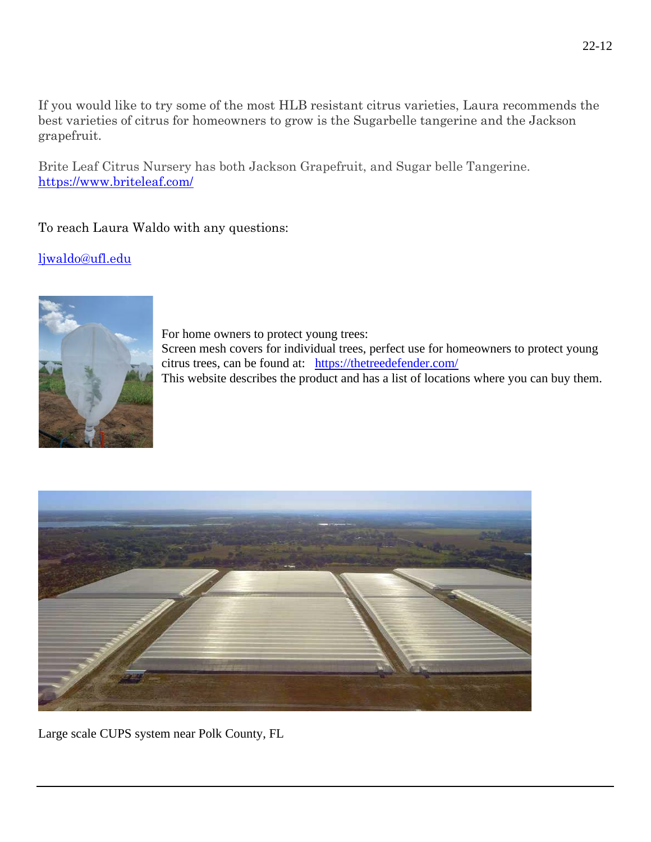If you would like to try some of the most HLB resistant citrus varieties, Laura recommends the best varieties of citrus for homeowners to grow is the Sugarbelle tangerine and the Jackson grapefruit.

Brite Leaf Citrus Nursery has both Jackson Grapefruit, and Sugar belle Tangerine. <https://www.briteleaf.com/>

To reach Laura Waldo with any questions:

[ljwaldo@ufl.edu](mailto:ljwaldo@ufl.edu)



For home owners to protect young trees: Screen mesh covers for individual trees, perfect use for homeowners to protect young citrus trees, can be found at: <https://thetreedefender.com/>

This website describes the product and has a list of locations where you can buy them.



Large scale CUPS system near Polk County, FL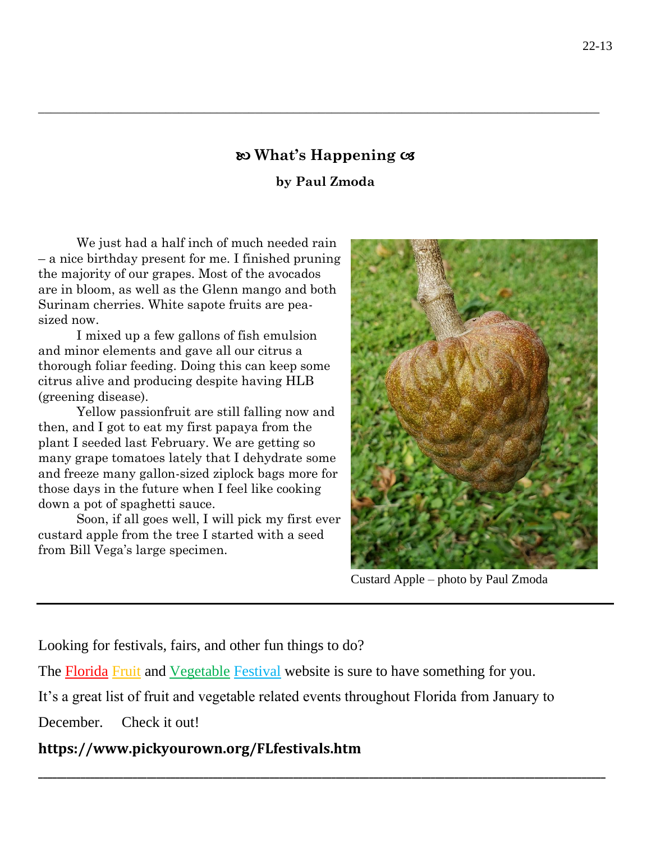## **What's Happening**

\_\_\_\_\_\_\_\_\_\_\_\_\_\_\_\_\_\_\_\_\_\_\_\_\_\_\_\_\_\_\_\_\_\_\_\_\_\_\_\_\_\_\_\_\_\_\_\_\_\_\_\_\_\_\_\_\_\_\_\_\_\_\_\_\_\_\_\_\_\_\_\_\_\_\_\_\_\_\_\_\_\_\_\_\_\_\_\_

### **by Paul Zmoda**

We just had a half inch of much needed rain – a nice birthday present for me. I finished pruning the majority of our grapes. Most of the avocados are in bloom, as well as the Glenn mango and both Surinam cherries. White sapote fruits are peasized now.

I mixed up a few gallons of fish emulsion and minor elements and gave all our citrus a thorough foliar feeding. Doing this can keep some citrus alive and producing despite having HLB (greening disease).

Yellow passionfruit are still falling now and then, and I got to eat my first papaya from the plant I seeded last February. We are getting so many grape tomatoes lately that I dehydrate some and freeze many gallon-sized ziplock bags more for those days in the future when I feel like cooking down a pot of spaghetti sauce.

Soon, if all goes well, I will pick my first ever custard apple from the tree I started with a seed from Bill Vega's large specimen.



Custard Apple – photo by Paul Zmoda

Looking for festivals, fairs, and other fun things to do?

The Florida Fruit and Vegetable Festival website is sure to have something for you.

It's a great list of fruit and vegetable related events throughout Florida from January to

**\_\_\_\_\_\_\_\_\_\_\_\_\_\_\_\_\_\_\_\_\_\_\_\_\_\_\_\_\_\_\_\_\_\_\_\_\_\_\_\_\_\_\_\_\_\_\_\_\_\_\_\_\_\_\_\_\_\_\_\_\_\_\_\_\_\_\_\_\_\_\_\_\_\_\_\_\_\_\_\_\_\_\_\_\_\_\_\_\_\_\_\_\_\_\_\_\_\_\_\_\_\_\_\_\_\_\_\_\_\_\_\_\_\_\_\_\_\_\_\_**

December. Check it out!

## **https://www.pickyourown.org/FLfestivals.htm**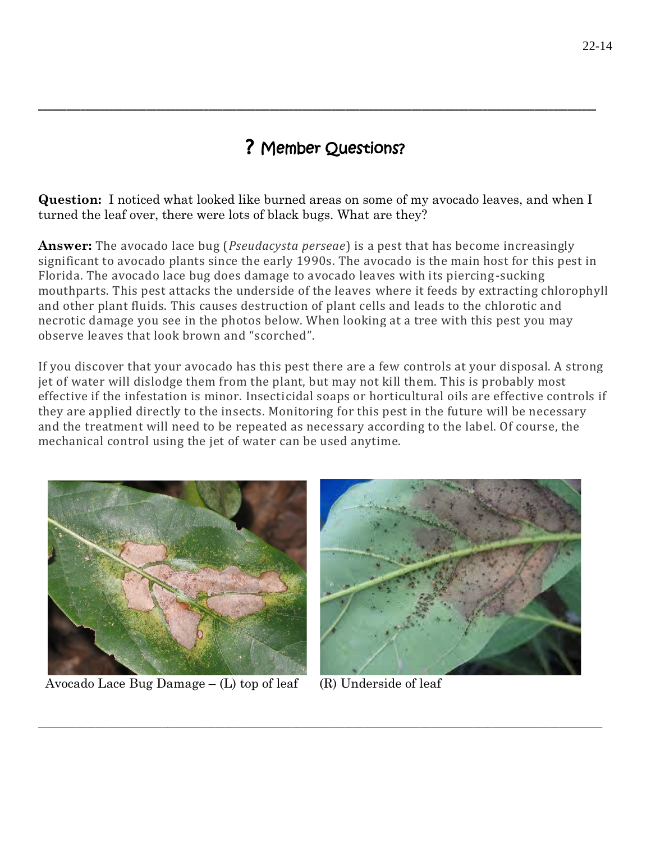# ? Member Questions?

**\_\_\_\_\_\_\_\_\_\_\_\_\_\_\_\_\_\_\_\_\_\_\_\_\_\_\_\_\_\_\_\_\_\_\_\_\_\_\_\_\_\_\_\_\_\_\_\_\_\_\_\_\_\_\_\_\_\_\_\_\_\_\_\_\_\_\_\_\_\_\_\_\_\_\_\_\_\_\_\_\_\_\_\_\_\_\_\_\_\_\_\_\_\_\_\_\_\_\_\_\_\_\_\_\_\_\_\_\_\_\_\_\_\_\_\_\_\_**

**Question:** I noticed what looked like burned areas on some of my avocado leaves, and when I turned the leaf over, there were lots of black bugs. What are they?

**Answer:** The avocado lace bug (*Pseudacysta perseae*) is a pest that has become increasingly significant to avocado plants since the early 1990s. The avocado is the main host for this pest in Florida. The avocado lace bug does damage to avocado leaves with its piercing-sucking mouthparts. This pest attacks the underside of the leaves where it feeds by extracting chlorophyll and other plant fluids. This causes destruction of plant cells and leads to the chlorotic and necrotic damage you see in the photos below. When looking at a tree with this pest you may observe leaves that look brown and "scorched".

If you discover that your avocado has this pest there are a few controls at your disposal. A strong jet of water will dislodge them from the plant, but may not kill them. This is probably most effective if the infestation is minor. Insecticidal soaps or horticultural oils are effective controls if they are applied directly to the insects. Monitoring for this pest in the future will be necessary and the treatment will need to be repeated as necessary according to the label. Of course, the mechanical control using the jet of water can be used anytime.

\_\_\_\_\_\_\_\_\_\_\_\_\_\_\_\_\_\_\_\_\_\_\_\_\_\_\_\_\_\_\_\_\_\_\_\_\_\_\_\_\_\_\_\_\_\_\_\_\_\_\_\_\_\_\_\_\_\_\_\_\_\_\_\_\_\_\_\_\_\_\_\_\_\_\_\_\_\_\_\_\_\_\_\_\_\_\_\_\_\_\_\_\_\_\_\_\_\_\_\_\_\_\_\_\_\_\_\_\_\_\_\_\_\_\_\_\_\_



Avocado Lace Bug Damage  $-$  (L) top of leaf (R) Underside of leaf

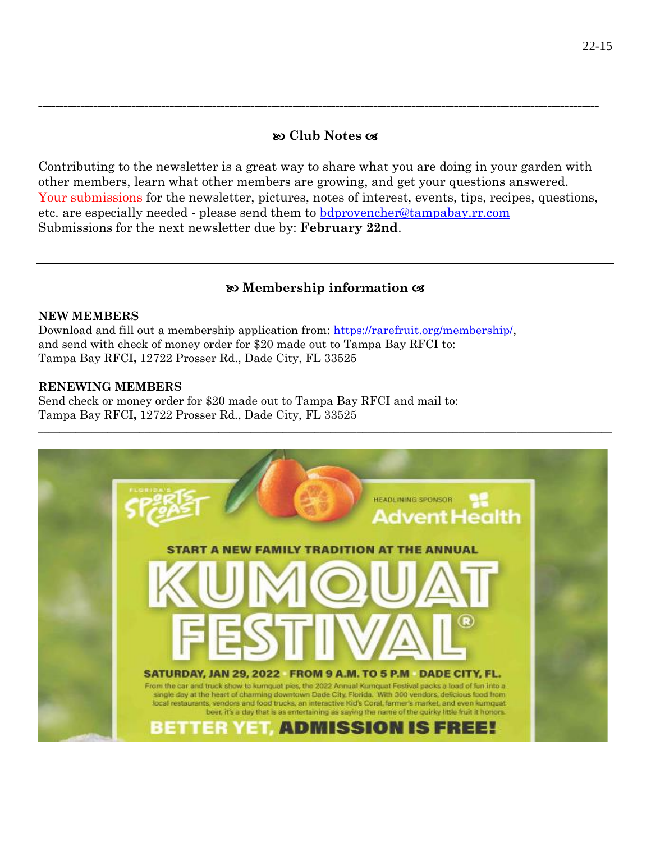### **Club Notes**

**------------------------------------------------------------------------------------------------------------------------------------**

Contributing to the newsletter is a great way to share what you are doing in your garden with other members, learn what other members are growing, and get your questions answered. Your submissions for the newsletter, pictures, notes of interest, events, tips, recipes, questions, etc. are especially needed - please send them to [bdprovencher@tampabay.rr.com](mailto:bdprovencher@tampabay.rr.com)  Submissions for the next newsletter due by: **February 22nd**.

### **Membership information**

#### **NEW MEMBERS**

Download and fill out a membership application from: [https://rarefruit.org/membership/,](https://rarefruit.org/membership/) and send with check of money order for \$20 made out to Tampa Bay RFCI to: Tampa Bay RFCI**,** 12722 Prosser Rd., Dade City, FL 33525

### **RENEWING MEMBERS**

Send check or money order for \$20 made out to Tampa Bay RFCI and mail to: Tampa Bay RFCI**,** 12722 Prosser Rd., Dade City, FL 33525